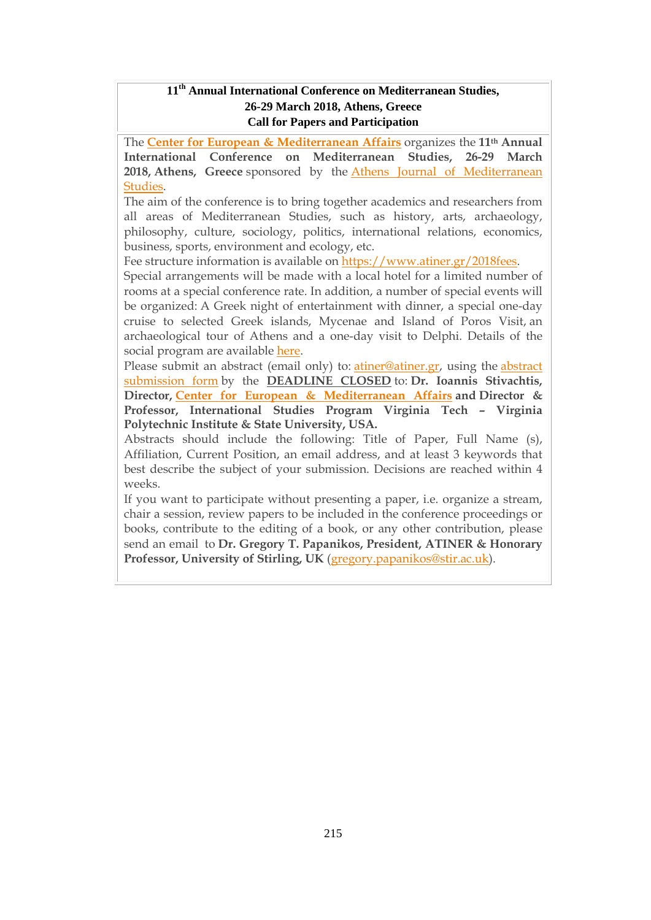### **11th Annual International Conference on Mediterranean Studies, 26-29 March 2018, Athens, Greece Call for Papers and Participation**

The **Center for European & [Mediterranean](http://www.atiner.gr/cema) Affairs** organizes the **11th Annual International Conference on Mediterranean Studies, 26-29 March 2018, Athens, Greece** sponsored by the Athens Journal of [Mediterranean](http://www.athensjournals.gr/ajms) [Studies.](http://www.athensjournals.gr/ajms)

The aim of the conference is to bring together academics and researchers from all areas of Mediterranean Studies, such as history, arts, archaeology, philosophy, culture, sociology, politics, international relations, economics, business, sports, environment and ecology, etc.

Fee structure information is available on [https://www.atiner.gr/2018fees.](https://www.atiner.gr/2018fees)

Special arrangements will be made with a local hotel for a limited number of rooms at a special conference rate. In addition, a number of special events will be organized: A Greek night of entertainment with dinner, a special one-day cruise to selected Greek islands, Mycenae and Island of Poros Visit, an archaeological tour of Athens and a one-day visit to Delphi. Details of the social program are available [here.](http://www.atiner.gr/social-program)

Please submit an [abstract](https://www.atiner.gr/2018/FORM-MDT.doc) (email only) to: *atiner@atiner.gr*, using the *abstract* [submission](https://www.atiner.gr/2018/FORM-MDT.doc) form by the **DEADLINE CLOSED** to: **Dr. Ioannis Stivachtis, Director, Center for European & [Mediterranean](http://www.atiner.gr/cema) Affairs and Director & Professor, International Studies Program Virginia Tech – Virginia Polytechnic Institute & State University, USA.**

Abstracts should include the following: Title of Paper, Full Name (s), Affiliation, Current Position, an email address, and at least 3 keywords that best describe the subject of your submission. Decisions are reached within 4 weeks.

If you want to participate without presenting a paper, i.e. organize a stream, chair a session, review papers to be included in the conference proceedings or books, contribute to the editing of a book, or any other contribution, please send an email to **Dr. Gregory T. Papanikos, President, ATINER & Honorary Professor, University of Stirling, UK** [\(gregory.papanikos@stir.ac.uk\)](mailto:gregory.papanikos@stir.ac.uk).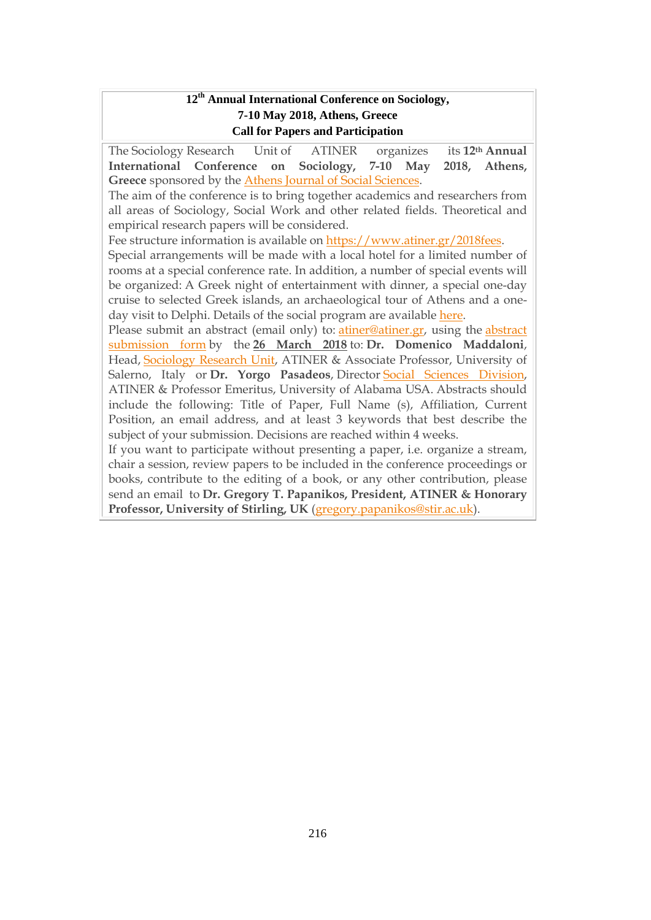### **12th Annual International Conference on Sociology, 7-10 May 2018, Athens, Greece Call for Papers and Participation**

The Sociology Research Unit of ATINER organizes its **12th Annual International Conference on Sociology, 7-10 May 2018, Athens, Greece** sponsored by the Athens Journal of Social [Sciences.](http://www.athensjournals.gr/ajss) The aim of the conference is to bring together academics and researchers from all areas of Sociology, Social Work and other related fields. Theoretical and empirical research papers will be considered. Fee structure information is available on [https://www.atiner.gr/2018fees.](https://www.atiner.gr/2018fees) Special arrangements will be made with a local hotel for a limited number of rooms at a special conference rate. In addition, a number of special events will be organized: A Greek night of entertainment with dinner, a special one-day cruise to selected Greek islands, an archaeological tour of Athens and a oneday visit to Delphi. Details of the social program are available [here.](http://www.atiner.gr/social-program) Please submit an abstract (email only) to: [atiner@atiner.gr,](mailto:atiner@atiner.gr) using the [abstract](https://www.atiner.gr/2018/FORM-SOC.doc) [submission](https://www.atiner.gr/2018/FORM-SOC.doc) form by the **26 March 2018** to: **Dr. Domenico Maddaloni**, Head, [Sociology](http://www.atiner.gr/docs/SOCIOLOGY_UNIT.htm) Research Unit, ATINER & Associate Professor, University of Salerno, Italy or **Dr. Yorgo Pasadeos**, Director Social Sciences [Division,](http://www.atiner.gr/SSRD.htm) ATINER & Professor Emeritus, University of Alabama USA. Abstracts should include the following: Title of Paper, Full Name (s), Affiliation, Current Position, an email address, and at least 3 keywords that best describe the subject of your submission. Decisions are reached within 4 weeks. If you want to participate without presenting a paper, i.e. organize a stream, chair a session, review papers to be included in the conference proceedings or books, contribute to the editing of a book, or any other contribution, please send an email to **Dr. Gregory T. Papanikos, President, ATINER & Honorary**

**Professor, University of Stirling, UK** [\(gregory.papanikos@stir.ac.uk\)](mailto:gregory.papanikos@stir.ac.uk).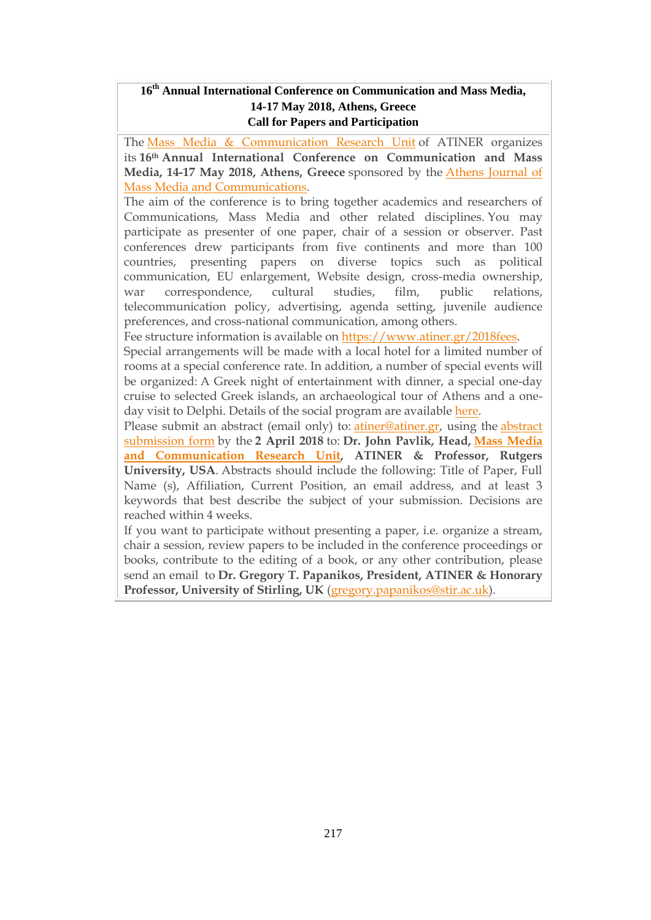## **16th Annual International Conference on Communication and Mass Media, 14-17 May 2018, Athens, Greece Call for Papers and Participation**

The Mass Media & [Communication](http://www.atiner.gr/docs/MEDIA_UNIT.htm) Research Unit of ATINER organizes its **16th Annual International Conference on Communication and Mass Media, 14-17 May 2018, Athens, Greece** sponsored by the Athens [Journal](http://www.athensjournals.gr/ajmmc) of Mass Media and [Communications.](http://www.athensjournals.gr/ajmmc)

The aim of the conference is to bring together academics and researchers of Communications, Mass Media and other related disciplines. You may participate as presenter of one paper, chair of a session or observer. Past conferences drew participants from five continents and more than 100 countries, presenting papers on diverse topics such as political communication, EU enlargement, Website design, cross-media ownership, war correspondence, cultural studies, film, public relations, telecommunication policy, advertising, agenda setting, juvenile audience preferences, and cross-national communication, among others.

Fee structure information is available on [https://www.atiner.gr/2018fees.](https://www.atiner.gr/2018fees)

Special arrangements will be made with a local hotel for a limited number of rooms at a special conference rate. In addition, a number of special events will be organized: A Greek night of entertainment with dinner, a special one-day cruise to selected Greek islands, an archaeological tour of Athens and a oneday visit to Delphi. Details of the social program are available [here.](http://www.atiner.gr/social-program)

Please submit an abstract (email only) to: [atiner@atiner.gr,](mailto:atiner@atiner.gr) using the [abstract](https://www.atiner.gr/2018/FORM-MED.doc) [submission](https://www.atiner.gr/2018/FORM-MED.doc) form by the **2 April 2018** to: **Dr. John Pavlik, Head, Mass [Media](https://www.atiner.gr/media-unit) and [Communication](https://www.atiner.gr/media-unit) Research Unit, ATINER & Professor, Rutgers University, USA**. Abstracts should include the following: Title of Paper, Full Name (s), Affiliation, Current Position, an email address, and at least 3 keywords that best describe the subject of your submission. Decisions are reached within 4 weeks.

If you want to participate without presenting a paper, i.e. organize a stream, chair a session, review papers to be included in the conference proceedings or books, contribute to the editing of a book, or any other contribution, please send an email to **Dr. Gregory T. Papanikos, President, ATINER & Honorary Professor, University of Stirling, UK** [\(gregory.papanikos@stir.ac.uk\)](mailto:gregory.papanikos@stir.ac.uk).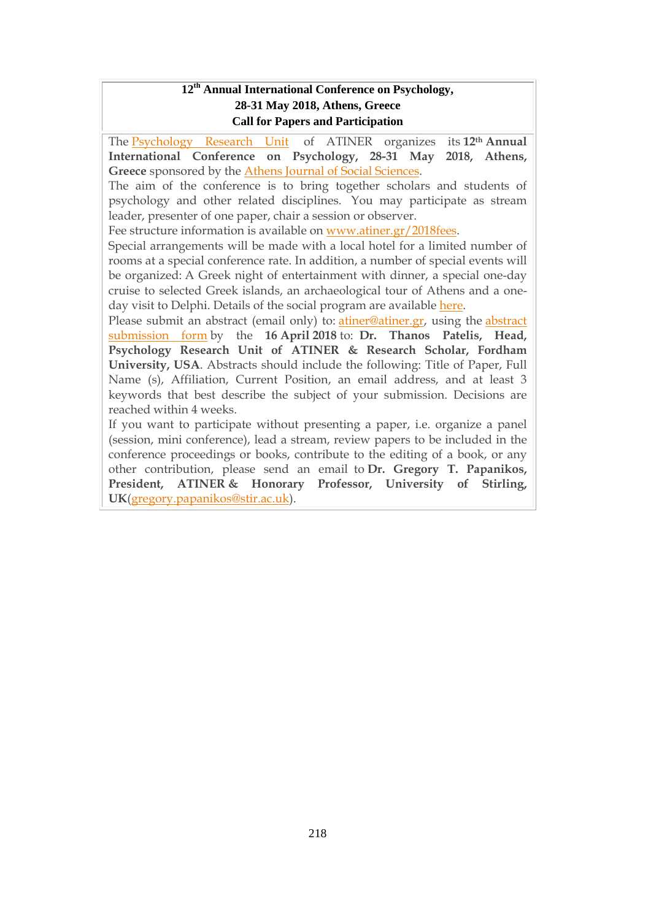### **12 th Annual International Conference on Psychology, 28-31 May 2018, Athens, Greece Call for Papers and Participation**

The [Psychology](http://www.atiner.gr/docs/PSYCHOLOGY_UNIT.htm) Research Unit of ATINER organizes its **12th Annual International Conference on Psychology, 28-31 May 2018, Athens, Greece** sponsored by the Athens Journal of Social [Sciences.](http://www.athensjournals.gr/ajss)

The aim of the conference is to bring together scholars and students of psychology and other related disciplines. You may participate as stream leader, presenter of one paper, chair a session or observer.

Fee structure information is available on [www.atiner.gr/2018fees.](https://www.atiner.gr/2018fees)

Special arrangements will be made with a local hotel for a limited number of rooms at a special conference rate. In addition, a number of special events will be organized: A Greek night of entertainment with dinner, a special one-day cruise to selected Greek islands, an archaeological tour of Athens and a oneday visit to Delphi. Details of the social program are available [here.](http://www.atiner.gr/social-program)

Please submit an abstract (email only) to: [atiner@atiner.gr,](mailto:atiner@atiner.gr) using the [abstract](https://www.atiner.gr/2018/FORM-PSY.doc) [submission](https://www.atiner.gr/2018/FORM-PSY.doc) form by the **16 April 2018** to: **Dr. Thanos Patelis, Head, Psychology Research Unit of ATINER & Research Scholar, Fordham University, USA**. Abstracts should include the following: Title of Paper, Full Name (s), Affiliation, Current Position, an email address, and at least 3 keywords that best describe the subject of your submission. Decisions are reached within 4 weeks.

If you want to participate without presenting a paper, i.e. organize a panel (session, mini conference), lead a stream, review papers to be included in the conference proceedings or books, contribute to the editing of a book, or any other contribution, please send an email to **Dr. Gregory T. Papanikos, President, ATINER & Honorary Professor, University of Stirling, UK**[\(gregory.papanikos@stir.ac.uk\)](mailto:gregory.papanikos@stir.ac.uk).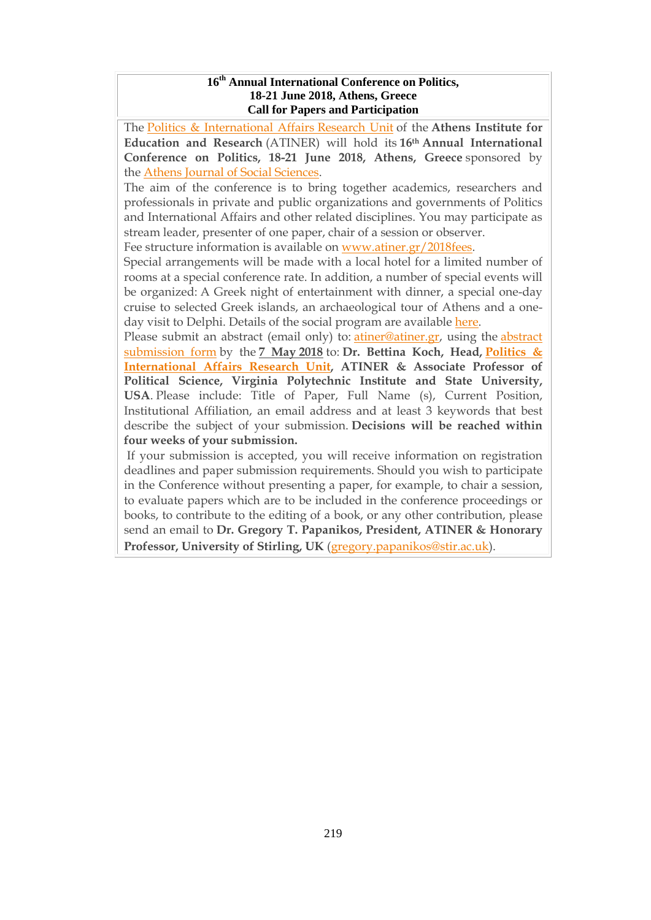#### **16 th Annual International Conference on Politics, 18-21 June 2018, Athens, Greece Call for Papers and Participation**

The Politics & [International](http://www.atiner.gr/docs/POLITICS_UNIT.htm) Affairs Research Unit of the **Athens Institute for Education and Research** (ATINER) will hold its **16th Annual International Conference on Politics, 18-21 June 2018, Athens, Greece** sponsored by the Athens Journal of Social [Sciences.](http://www.athensjournals.gr/ajss)

The aim of the conference is to bring together academics, researchers and professionals in private and public organizations and governments of Politics and International Affairs and other related disciplines. You may participate as stream leader, presenter of one paper, chair of a session or observer.

Fee structure information is available on [www.atiner.gr/2018fees.](https://www.atiner.gr/2018fees)

Special arrangements will be made with a local hotel for a limited number of rooms at a special conference rate. In addition, a number of special events will be organized: A Greek night of entertainment with dinner, a special one-day cruise to selected Greek islands, an archaeological tour of Athens and a oneday visit to Delphi. Details of the social program are available [here.](http://www.atiner.gr/social-program)

Please submit an abstract (email only) to: [atiner@atiner.gr,](mailto:atiner@atiner.gr) using the [abstract](https://www.atiner.gr/2018/FORM-POL.doc) [submission](https://www.atiner.gr/2018/FORM-POL.doc) form by the **7 May 2018** to: **Dr. Bettina Koch, Head, [Politics](http://www.atiner.gr/politics-unit) & [International](http://www.atiner.gr/politics-unit) Affairs Research Unit, ATINER & Associate Professor of Political Science, Virginia Polytechnic Institute and State University, USA**. Please include: Title of Paper, Full Name (s), Current Position, Institutional Affiliation, an email address and at least 3 keywords that best describe the subject of your submission. **Decisions will be reached within four weeks of your submission.**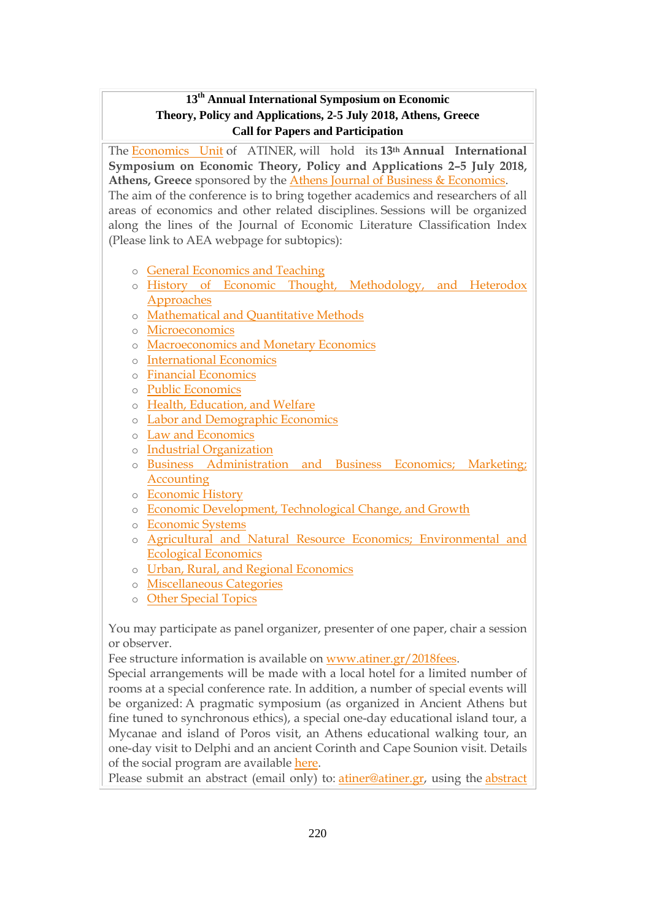## **13 th Annual International Symposium on Economic Theory, Policy and Applications, 2-5 July 2018, Athens, Greece Call for Papers and Participation**

The [Economics](http://www.atiner.gr/docs/ECONOMICS_UNIT.htm) Unit of ATINER, will hold its **13th Annual International Symposium on Economic Theory, Policy and Applications 2–5 July 2018, Athens, Greece** sponsored by the Athens Journal of Business & [Economics.](http://www.athensjournals.gr/ajbe) The aim of the conference is to bring together academics and researchers of all areas of economics and other related disciplines. Sessions will be organized along the lines of the Journal of Economic Literature Classification Index (Please link to AEA webpage for subtopics):

- o General [Economics](http://www.aeaweb.org/jel/jel_class_system.php#A#A) and Teaching
- o History of Economic Thought, [Methodology,](http://www.aeaweb.org/jel/jel_class_system.php#B#B) and Heterodox [Approaches](http://www.aeaweb.org/jel/jel_class_system.php#B#B)
- o [Mathematical](http://www.aeaweb.org/jel/jel_class_system.php#C#C) and Quantitative Methods
- o [Microeconomics](http://www.aeaweb.org/jel/jel_class_system.php#D#D)
- o [Macroeconomics](http://www.aeaweb.org/jel/jel_class_system.php#E#E) and Monetary Economics
- o [International](http://www.aeaweb.org/jel/jel_class_system.php#F#F) Economics
- o Financial [Economics](http://www.aeaweb.org/jel/jel_class_system.php#G#G)
- o Public [Economics](http://www.aeaweb.org/jel/jel_class_system.php#H#H)
- o Health, [Education,](http://www.aeaweb.org/jel/jel_class_system.php#I#I) and Welfare
- o Labor and [Demographic](http://www.aeaweb.org/jel/jel_class_system.php#J#J) Economics
- o Law and [Economics](http://www.aeaweb.org/jel/jel_class_system.php#K#K)
- o Industrial [Organization](http://www.aeaweb.org/jel/jel_class_system.php#L#L)
- o Business [Administration](http://www.aeaweb.org/jel/jel_class_system.php#M#M) and Business Economics; Marketing; [Accounting](http://www.aeaweb.org/jel/jel_class_system.php#M#M)
- o [Economic](http://www.aeaweb.org/jel/jel_class_system.php#N#N) History
- o Economic [Development,](http://www.aeaweb.org/jel/jel_class_system.php#O#O) Technological Change, and Growth
- o [Economic](http://www.aeaweb.org/jel/jel_class_system.php#P#P) Systems
- o Agricultural and Natural Resource Economics; [Environmental](http://www.aeaweb.org/jel/jel_class_system.php#Q#Q) and Ecological [Economics](http://www.aeaweb.org/jel/jel_class_system.php#Q#Q)
- o Urban, Rural, and Regional [Economics](http://www.aeaweb.org/jel/jel_class_system.php#R#R)
- o [Miscellaneous](http://www.aeaweb.org/jel/jel_class_system.php#Y#Y) Categories
- o Other [Special](http://www.aeaweb.org/jel/jel_class_system.php#Z#Z) Topics

You may participate as panel organizer, presenter of one paper, chair a session or observer.

Fee structure information is available on [www.atiner.gr/2018fees.](https://www.atiner.gr/2018fees)

Special arrangements will be made with a local hotel for a limited number of rooms at a special conference rate. In addition, a number of special events will be organized: A pragmatic symposium (as organized in Ancient Athens but fine tuned to synchronous ethics), a special one-day educational island tour, a Mycanae and island of Poros visit, an Athens educational walking tour, an one-day visit to Delphi and an ancient Corinth and Cape Sounion visit. Details of the social program are available [here.](http://www.atiner.gr/social-program)

Please submit an abstract (email only) to: [atiner@atiner.gr,](mailto:atiner@atiner.gr) using the [abstract](https://www.atiner.gr/2018/FORM-ECO.doc)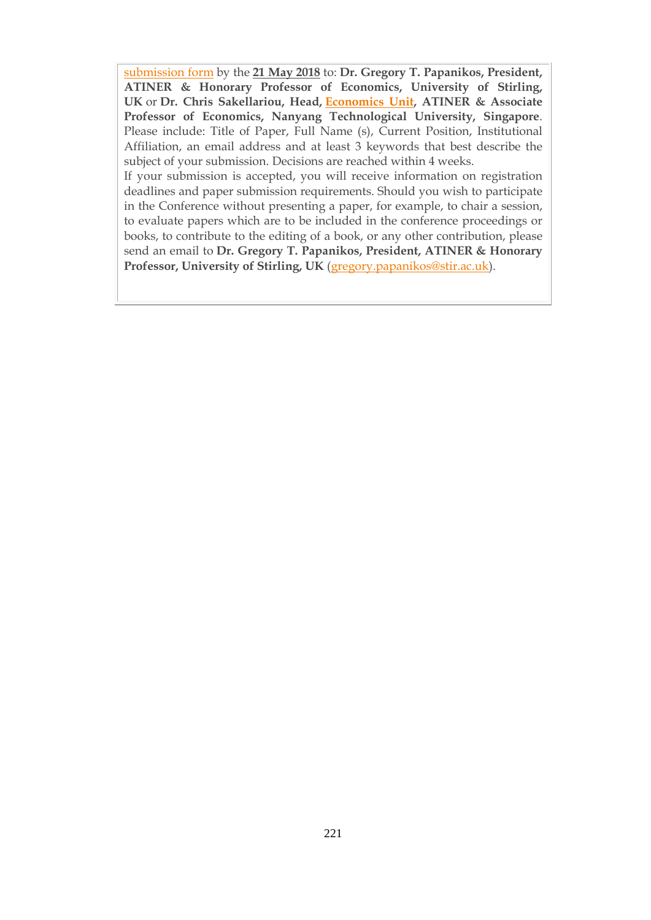submission form by the **21 May 2018** to: **Dr. Gregory T. Papanikos, President, ATINER & Honorary Professor of Economics, University of Stirling, UK** or **Dr. Chris Sakellariou, Head, [Economics](https://www.atiner.gr/economics-unit) Unit, ATINER & Associate Professor of Economics, Nanyang Technological University, Singapore**. Please include: Title of Paper, Full Name (s), Current Position, Institutional Affiliation, an email address and at least 3 keywords that best describe the subject of your submission. Decisions are reached within 4 weeks.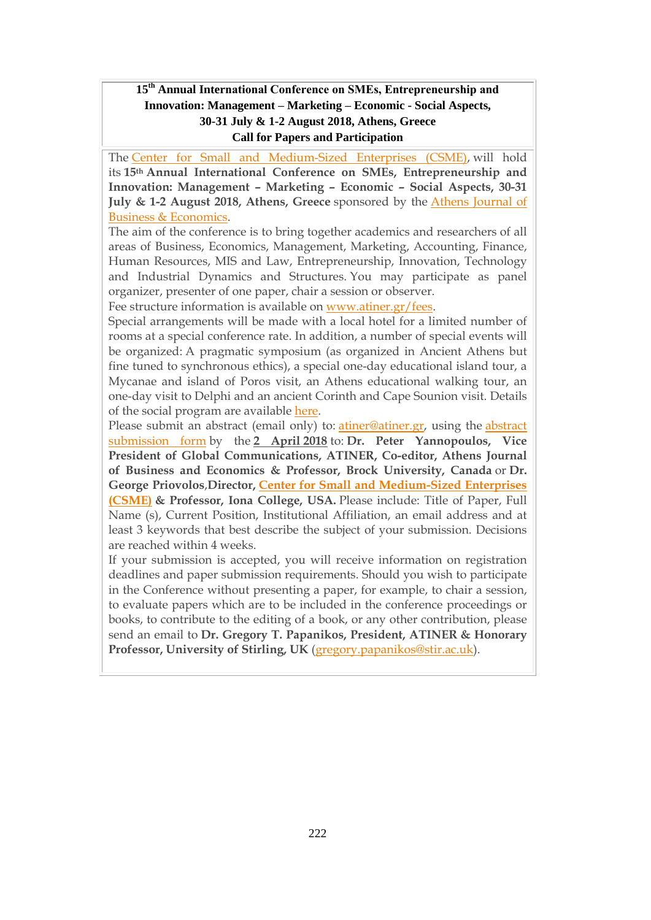### **15th Annual International Conference on SΜΕs, Entrepreneurship and Innovation: Management – Marketing – Economic - Social Aspects, 30-31 July & 1-2 August 2018, Athens, Greece Call for Papers and Participation**

The Center for Small and [Medium-Sized](https://www.atiner.gr/csme) Enterprises (CSME), will hold its **15th Annual International Conference on SΜΕs, Entrepreneurship and Innovation: Management – Marketing – Economic – Social Aspects, 30-31 July & 1-2 August 2018, Athens, Greece** sponsored by the Athens [Journal](http://www.athensjournals.gr/ajbe) of Business & [Economics.](http://www.athensjournals.gr/ajbe)

The aim of the conference is to bring together academics and researchers of all areas of Business, Economics, Management, Marketing, Accounting, Finance, Human Resources, MIS and Law, Entrepreneurship, Innovation, Technology and Industrial Dynamics and Structures. You may participate as panel organizer, presenter of one paper, chair a session or observer.

Fee structure information is available on [www.atiner.gr/fees.](https://www.atiner.gr/2018fees)

Special arrangements will be made with a local hotel for a limited number of rooms at a special conference rate. In addition, a number of special events will be organized: A pragmatic symposium (as organized in Ancient Athens but fine tuned to synchronous ethics), a special one-day educational island tour, a Mycanae and island of Poros visit, an Athens educational walking tour, an one-day visit to Delphi and an ancient Corinth and Cape Sounion visit. Details of the social program are available [here.](http://www.atiner.gr/social-program)

Please submit an abstract (email only) to: [atiner@atiner.gr,](mailto:atiner@atiner.gr) using the [abstract](https://www.atiner.gr/2018/FORM-SME.doc) [submission](https://www.atiner.gr/2018/FORM-SME.doc) form by the **2 April 2018** to: **Dr. Peter Yannopoulos, Vice President of Global Communications, ATINER, Co-editor, Athens Journal of Business and Economics & Professor, Brock University, Canada** or **Dr. George Priovolos**,**Director, Center for Small and [Medium-Sized](https://www.atiner.gr/csme) Enterprises [\(CSME\)](https://www.atiner.gr/csme) & Professor, Iona College, USA.** Please include: Title of Paper, Full Name (s), Current Position, Institutional Affiliation, an email address and at least 3 keywords that best describe the subject of your submission. Decisions are reached within 4 weeks.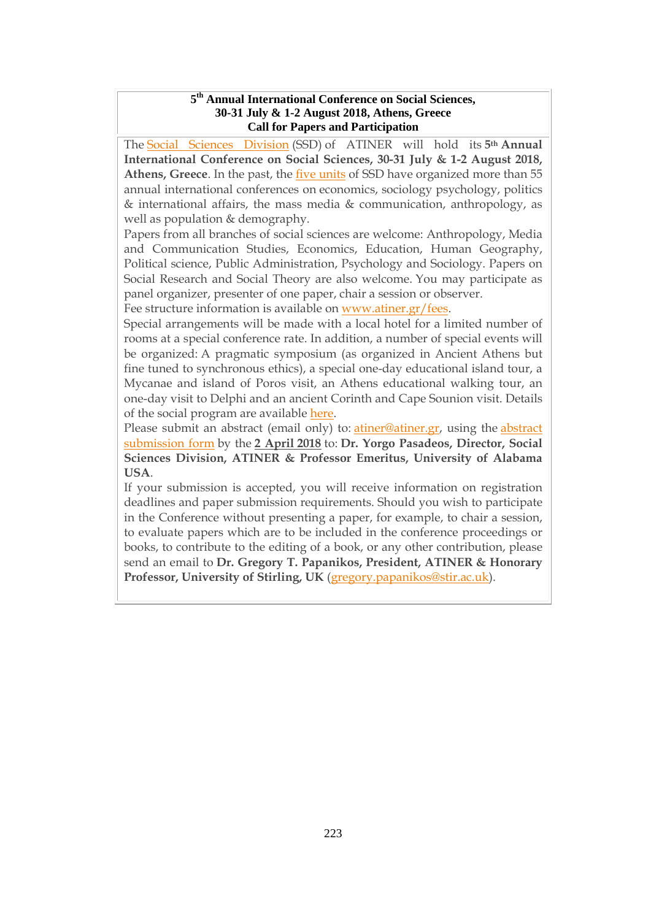#### **5 th Annual International Conference on Social Sciences, 30-31 July & 1-2 August 2018, Athens, Greece Call for Papers and Participation**

The Social Sciences [Division](http://www.atiner.gr/SSRD.htm) (SSD) of ATINER will hold its **5th Annual International Conference on Social Sciences, 30-31 July & 1-2 August 2018, Athens, Greece**. In the past, the five [units](https://www.atiner.gr/ssrd) of SSD have organized more than 55 annual international conferences on economics, sociology psychology, politics & international affairs, the mass media & communication, anthropology, as well as population & demography.

Papers from all branches of social sciences are welcome: Anthropology, Media and Communication Studies, Economics, Education, Human Geography, Political science, Public Administration, Psychology and Sociology. Papers on Social Research and Social Theory are also welcome. You may participate as panel organizer, presenter of one paper, chair a session or observer.

Fee structure information is available on [www.atiner.gr/fees.](https://www.atiner.gr/2018fees)

Special arrangements will be made with a local hotel for a limited number of rooms at a special conference rate. In addition, a number of special events will be organized: A pragmatic symposium (as organized in Ancient Athens but fine tuned to synchronous ethics), a special one-day educational island tour, a Mycanae and island of Poros visit, an Athens educational walking tour, an one-day visit to Delphi and an ancient Corinth and Cape Sounion visit. Details of the social program are available [here.](http://www.atiner.gr/social-program)

Please submit an [abstract](https://www.atiner.gr/2018/FORM-SOS.doc) (email only) to: *atiner@atiner.gr*, using the *abstract* [submission](https://www.atiner.gr/2018/FORM-SOS.doc) form by the **2 April 2018** to: **Dr. Yorgo Pasadeos, Director, Social Sciences Division, ATINER & Professor Emeritus, University of Alabama USA**.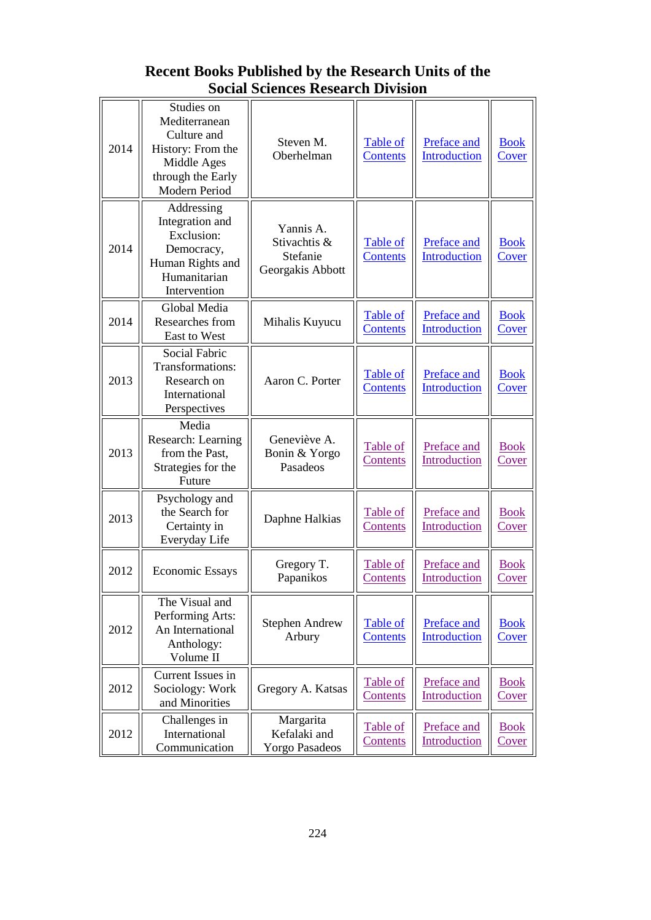# **Recent Books Published by the Research Units of the Social Sciences Research Division**

| 2014 | Studies on<br>Mediterranean<br>Culture and<br>History: From the<br>Middle Ages<br>through the Early<br>Modern Period | Steven M.<br>Oberhelman                                   | Table of<br><b>Contents</b>        | Preface and<br>Introduction        | <b>Book</b><br><b>Cover</b> |
|------|----------------------------------------------------------------------------------------------------------------------|-----------------------------------------------------------|------------------------------------|------------------------------------|-----------------------------|
| 2014 | Addressing<br>Integration and<br>Exclusion:<br>Democracy,<br>Human Rights and<br>Humanitarian<br>Intervention        | Yannis A.<br>Stivachtis &<br>Stefanie<br>Georgakis Abbott | Table of<br><b>Contents</b>        | Preface and<br><b>Introduction</b> | <b>Book</b><br><b>Cover</b> |
| 2014 | Global Media<br>Researches from<br>East to West                                                                      | Mihalis Kuyucu                                            | Table of<br><b>Contents</b>        | Preface and<br>Introduction        | <b>Book</b><br><b>Cover</b> |
| 2013 | Social Fabric<br>Transformations:<br>Research on<br>International<br>Perspectives                                    | Aaron C. Porter                                           | Table of<br><b>Contents</b>        | Preface and<br><b>Introduction</b> | <b>Book</b><br><b>Cover</b> |
| 2013 | Media<br>Research: Learning<br>from the Past,<br>Strategies for the<br>Future                                        | Geneviève A.<br>Bonin & Yorgo<br>Pasadeos                 | Table of<br>Contents               | Preface and<br>Introduction        | <b>Book</b><br>Cover        |
| 2013 | Psychology and<br>the Search for<br>Certainty in<br>Everyday Life                                                    | Daphne Halkias                                            | Table of<br>Contents               | Preface and<br>Introduction        | <b>Book</b><br>Cover        |
| 2012 | <b>Economic Essays</b>                                                                                               | Gregory T.<br>Papanikos                                   | Table of<br><b>Contents</b>        | Preface and<br>Introduction        | <b>Book</b><br>Cover        |
| 2012 | The Visual and<br>Performing Arts:<br>An International<br>Anthology:<br>Volume II                                    | <b>Stephen Andrew</b><br>Arbury                           | <b>Table of</b><br><b>Contents</b> | Preface and<br><b>Introduction</b> | <b>Book</b><br><b>Cover</b> |
| 2012 | Current Issues in<br>Sociology: Work<br>and Minorities                                                               | Gregory A. Katsas                                         | Table of<br>Contents               | Preface and<br>Introduction        | <b>Book</b><br><u>Cover</u> |
| 2012 | Challenges in<br>International<br>Communication                                                                      | Margarita<br>Kefalaki and<br><b>Yorgo Pasadeos</b>        | Table of<br>Contents               | Preface and<br>Introduction        | <b>Book</b><br><b>Cover</b> |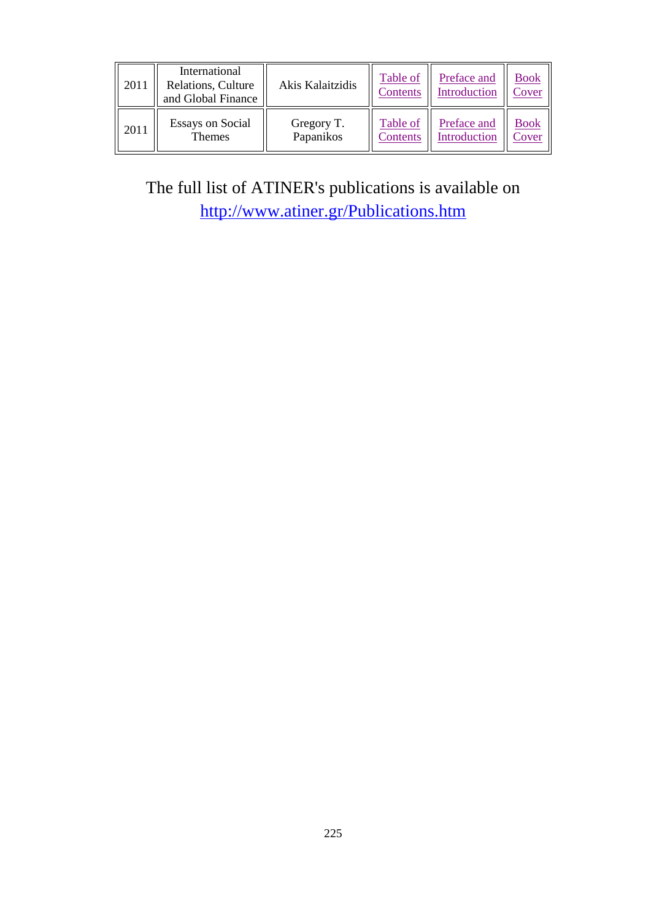| 2011 | International<br>Relations, Culture<br>and Global Finance | Akis Kalaitzidis | Table of<br>Contents | Preface and<br>Introduction | <b>Book</b><br>Cover |
|------|-----------------------------------------------------------|------------------|----------------------|-----------------------------|----------------------|
| 2011 | <b>Essays on Social</b>                                   | Gregory T.       | Table of             | Preface and                 | <b>Book</b>          |
|      | <b>Themes</b>                                             | Papanikos        | Contents             | Introduction                | Cover                |

The full list of ATINER's publications is available on <http://www.atiner.gr/Publications.htm>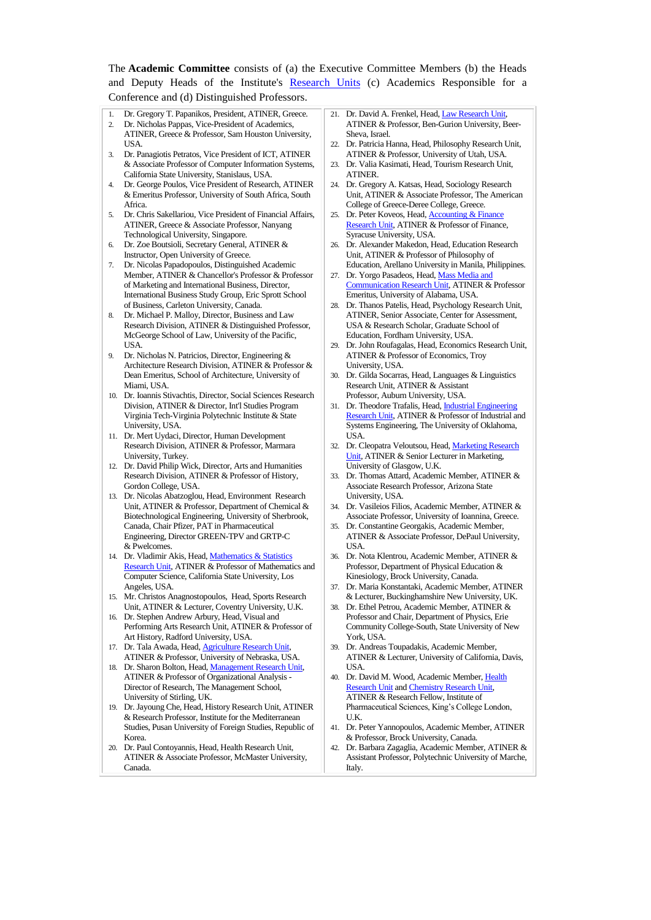The **Academic Committee** consists of (a) the Executive Committee Members (b) the Heads and Deputy Heads of the Institute's [Research Units](http://www.atiner.gr/RESEARCH-DIVISIONS.htm) (c) Academics Responsible for a Conference and (d) Distinguished Professors.

- Dr. Gregory T. Papanikos, President, ATINER, Greece. 2. Dr. Nicholas Pappas, Vice-President of Academics, ATINER, Greece & Professor, Sam Houston University, USA.
- 3. Dr. Panagiotis Petratos, Vice President of ICT, ATINER & Associate Professor of Computer Information Systems, California State University, Stanislaus, USA.
- 4. Dr. George Poulos, Vice President of Research, ATINER & Emeritus Professor, University of South Africa, South Africa.
- 5. Dr. Chris Sakellariou, Vice President of Financial Affairs, ATINER, Greece & Associate Professor, Nanyang Technological University, Singapore.
- Dr. Zoe Boutsioli, Secretary General, ATINER & Instructor, Open University of Greece.
- 7. Dr. Nicolas Papadopoulos, Distinguished Academic Member, ATINER & Chancellor's Professor & Professor of Marketing and International Business, Director, International Business Study Group, Eric Sprott School of Business, Carleton University, Canada.
- 8. Dr. Michael P. Malloy, Director, Business and Law Research Division, ATINER & Distinguished Professor, McGeorge School of Law, University of the Pacific, USA.
- 9. Dr. Nicholas N. Patricios, Director, Engineering & Architecture Research Division, ATINER & Professor & Dean Emeritus, School of Architecture, University of Miami, USA.
- 10. Dr. Ioannis Stivachtis, Director, Social Sciences Research Division, ATINER & Director, Int'l Studies Program Virginia Tech-Virginia Polytechnic Institute & State University, USA.
- 11. Dr. Mert Uydaci, Director, Human Development Research Division, ATINER & Professor, Marmara University, Turkey.
- 12. Dr. David Philip Wick, Director, Arts and Humanities Research Division, ATINER & Professor of History, Gordon College, USA.
- 13. Dr. Nicolas Abatzoglou, Head, Environment Research Unit, ATINER & Professor, Department of Chemical & Biotechnological Engineering, University of Sherbrook, Canada, Chair Pfizer, PAT in Pharmaceutical Engineering, Director GREEN-TPV and GRTP-C & Pwelcomes.
- 14. Dr. Vladimir Akis, Head, Mathematics & Statistics [Research Unit,](http://www.atiner.gr/docs/MATHEMATICS_UNIT.htm) ATINER & Professor of Mathematics and Computer Science, California State University, Los Angeles, USA.
- 15. Mr. Christos Anagnostopoulos, Head, Sports Research Unit, ATINER & Lecturer, Coventry University, U.K.
- 16. Dr. Stephen Andrew Arbury, Head, Visual and Performing Arts Research Unit, ATINER & Professor of Art History, Radford University, USA.
- 17. Dr. Tala Awada, Head[, Agriculture Research Unit,](http://www.atiner.gr/AGRICULTURE_UNIT.htm)  ATINER & Professor, University of Nebraska, USA.
- 18. Dr. Sharon Bolton, Head, Management Research Unit, ATINER & Professor of Organizational Analysis - Director of Research, The Management School, University of Stirling, UK.
- 19. Dr. Jayoung Che, Head, History Research Unit, ATINER & Research Professor, Institute for the Mediterranean Studies, Pusan University of Foreign Studies, Republic of Korea.
- 20. Dr. Paul Contoyannis, Head, Health Research Unit, ATINER & Associate Professor, McMaster University, Canada.
- 21. Dr. David A. Frenkel, Head[, Law Research Unit,](http://www.atiner.gr/docs/LAW_UNIT.htm)  ATINER & Professor, Ben-Gurion University, Beer-Sheva, Israel.
- 22. Dr. Patricia Hanna, Head, Philosophy Research Unit, ATINER & Professor, University of Utah, USA.
- 23. Dr. Valia Kasimati, Head, Tourism Research Unit, ATINER.
- 24. Dr. Gregory A. Katsas, Head, Sociology Research Unit, ATINER & Associate Professor, The American College of Greece-Deree College, Greece.
- 25. Dr. Peter Koveos, Head, **Accounting & Finan** [Research Unit,](http://www.atiner.gr/docs/ACCOUNTING_UNIT.htm) ATINER & Professor of Finance, Syracuse University, USA.
- 26. Dr. Alexander Makedon, Head, Education Research Unit, ATINER & Professor of Philosophy of Education, Arellano University in Manila, Philippines.
- 27. Dr. Yorgo Pasadeos, Head[, Mass Media and](http://www.atiner.gr/docs/MEDIA_UNIT.htm)  [Communication Research Unit,](http://www.atiner.gr/docs/MEDIA_UNIT.htm) ATINER & Professor Emeritus, University of Alabama, USA.
- 28. Dr. Thanos Patelis, Head, Psychology Research Unit, ATINER, Senior Associate, Center for Assessment, USA & Research Scholar, Graduate School of Education, Fordham University, USA.
- 29. Dr. John Roufagalas, Head, Economics Research Unit, ATINER & Professor of Economics, Troy University, USA.
- 30. Dr. Gilda Socarras, Head, Languages & Linguistics Research Unit, ATINER & Assistant Professor, Auburn University, USA.
- 31. Dr. Theodore Trafalis, Head[, Industrial Engineering](http://www.atiner.gr/INDUSTRIAL-UNIT.htm)  [Research Unit,](http://www.atiner.gr/INDUSTRIAL-UNIT.htm) ATINER & Professor of Industrial and Systems Engineering, The University of Oklahoma, USA.
- 32. Dr. Cleopatra Veloutsou, Head[, Marketing Research](http://www.atiner.gr/docs/MARKETING_UNIT.htm)  [Unit,](http://www.atiner.gr/docs/MARKETING_UNIT.htm) ATINER & Senior Lecturer in Marketing, University of Glasgow, U.K.
- 33. Dr. Thomas Attard, Academic Member, ATINER & Associate Research Professor, Arizona State University, USA.
- 34. Dr. Vasileios Filios, Academic Member, ATINER & Associate Professor, University of Ioannina, Greece.
- 35. Dr. Constantine Georgakis, Academic Member, ATINER & Associate Professor, DePaul University, USA.
- 36. Dr. Nota Klentrou, Academic Member, ATINER & Professor, Department of Physical Education & Kinesiology, Brock University, Canada.
- 37. Dr. Maria Konstantaki, Academic Member, ATINER & Lecturer, Buckinghamshire New University, UK.
- 38. Dr. Ethel Petrou, Academic Member, ATINER & Professor and Chair, Department of Physics, Erie Community College-South, State University of New York, USA.
- 39. Dr. Andreas Toupadakis, Academic Member, ATINER & Lecturer, University of California, Davis, **IISA**
- 40. Dr. David M. Wood, Academic Member, [Health](http://www.atiner.gr/docs/HEALTH_UNIT.htm)  [Research Unit](http://www.atiner.gr/docs/HEALTH_UNIT.htm) and [Chemistry Research Unit,](http://www.atiner.gr/CHEMISTRY-UNIT.htm) ATINER & Research Fellow, Institute of Pharmaceutical Sciences, King's College London, U.K.
- 41. Dr. Peter Yannopoulos, Academic Member, ATINER & Professor, Brock University, Canada.
- 42. Dr. Barbara Zagaglia, Academic Member, ATINER & Assistant Professor, Polytechnic University of Marche, Italy.